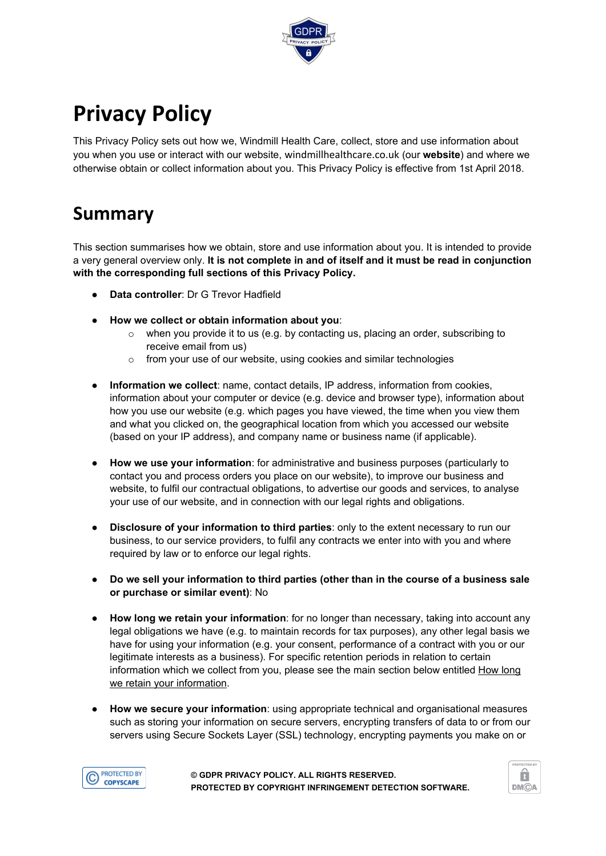

# **Privacy Policy**

This Privacy Policy sets out how we, Windmill Health Care, collect, store and use information about you when you use or interact with our website, windmillhealthcare.co.uk (our **website**) and where we otherwise obtain or collect information about you. This Privacy Policy is effective from 1st April 2018.

### **Summary**

This section summarises how we obtain, store and use information about you. It is intended to provide a very general overview only. **It is not complete in and of itself and it must be read in conjunction with the corresponding full sections of this Privacy Policy.**

- **Data controller: Dr G Trevor Hadfield**
- **How we collect or obtain information about you**:
	- $\circ$  when you provide it to us (e.g. by contacting us, placing an order, subscribing to receive email from us)
	- o from your use of our website, using cookies and similar technologies
- **Information we collect**: name, contact details, IP address, information from cookies, information about your computer or device (e.g. device and browser type), information about how you use our website (e.g. which pages you have viewed, the time when you view them and what you clicked on, the geographical location from which you accessed our website (based on your IP address), and company name or business name (if applicable).
- **How we use your information**: for administrative and business purposes (particularly to contact you and process orders you place on our website), to improve our business and website, to fulfil our contractual obligations, to advertise our goods and services, to analyse your use of our website, and in connection with our legal rights and obligations.
- **Disclosure of your information to third parties**: only to the extent necessary to run our business, to our service providers, to fulfil any contracts we enter into with you and where required by law or to enforce our legal rights.
- **Do we sell your information to third parties (other than in the course of a business sale or purchase or similar event)**: No
- **How long we retain your information**: for no longer than necessary, taking into account any legal obligations we have (e.g. to maintain records for tax purposes), any other legal basis we have for using your information (e.g. your consent, performance of a contract with you or our legitimate interests as a business). For specific retention periods in relation to certain information which we collect from you, please see the main section below entitled How long we retain your information.
- **How we secure your information**: using appropriate technical and organisational measures such as storing your information on secure servers, encrypting transfers of data to or from our servers using Secure Sockets Layer (SSL) technology, encrypting payments you make on or



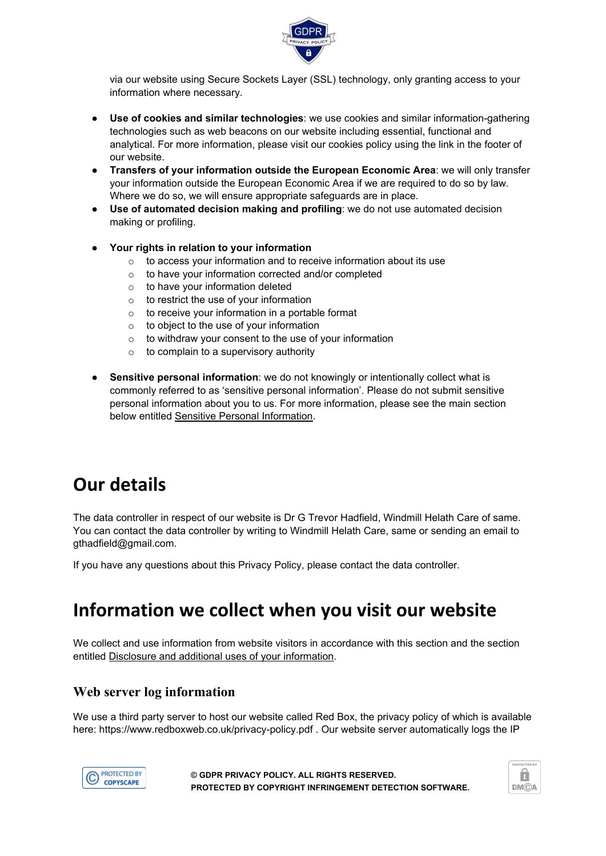

via our website using Secure Sockets Layer (SSL) technology, only granting access to your information where necessary.

- **Use of cookies and similar technologies**: we use cookies and similar information-gathering technologies such as web beacons on our website including essential, functional and analytical. For more information, please visit our cookies policy using the link in the footer of our website.
- **Transfers of your information outside the European Economic Area**: we will only transfer your information outside the European Economic Area if we are required to do so by law. Where we do so, we will ensure appropriate safeguards are in place.
- **Use of automated decision making and profiling**: we do not use automated decision making or profiling.
- **Your rights in relation to your information**
	- o to access your information and to receive information about its use
	- o to have your information corrected and/or completed
	- o to have your information deleted
	- $\circ$  to restrict the use of your information
	- $\circ$  to receive your information in a portable format
	- $\circ$  to object to the use of your information
	- $\circ$  to withdraw your consent to the use of your information
	- $\circ$  to complain to a supervisory authority
- **Sensitive personal information**: we do not knowingly or intentionally collect what is commonly referred to as 'sensitive personal information'. Please do not submit sensitive personal information about you to us. For more information, please see the main section below entitled Sensitive Personal Information.

### **Our details**

The data controller in respect of our website is Dr G Trevor Hadfield, Windmill Helath Care of same. You can contact the data controller by writing to Windmill Helath Care, same or sending an email to gthadfield@gmail.com.

If you have any questions about this Privacy Policy, please contact the data controller.

### **Information we collect when you visit our website**

We collect and use information from website visitors in accordance with this section and the section entitled Disclosure and additional uses of your information.

#### **Web server log information**

We use a third party server to host our website called Red Box, the privacy policy of which is available here: https://www.redboxweb.co.uk/privacy-policy.pdf . Our website server automatically logs the IP



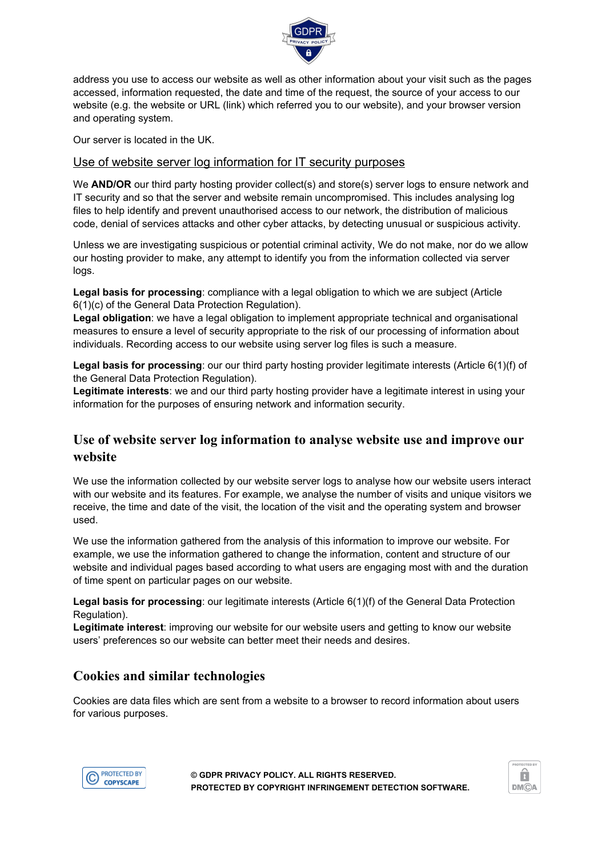

address you use to access our website as well as other information about your visit such as the pages accessed, information requested, the date and time of the request, the source of your access to our website (e.g. the website or URL (link) which referred you to our website), and your browser version and operating system.

Our server is located in the UK.

#### Use of website server log information for IT security purposes

We **AND/OR** our third party hosting provider collect(s) and store(s) server logs to ensure network and IT security and so that the server and website remain uncompromised. This includes analysing log files to help identify and prevent unauthorised access to our network, the distribution of malicious code, denial of services attacks and other cyber attacks, by detecting unusual or suspicious activity.

Unless we are investigating suspicious or potential criminal activity, We do not make, nor do we allow our hosting provider to make, any attempt to identify you from the information collected via server logs.

**Legal basis for processing**: compliance with a legal obligation to which we are subject (Article 6(1)(c) of the General Data Protection Regulation).

**Legal obligation**: we have a legal obligation to implement appropriate technical and organisational measures to ensure a level of security appropriate to the risk of our processing of information about individuals. Recording access to our website using server log files is such a measure.

**Legal basis for processing**: our our third party hosting provider legitimate interests (Article 6(1)(f) of the General Data Protection Regulation).

**Legitimate interests**: we and our third party hosting provider have a legitimate interest in using your information for the purposes of ensuring network and information security.

### **Use of website server log information to analyse website use and improve our website**

We use the information collected by our website server logs to analyse how our website users interact with our website and its features. For example, we analyse the number of visits and unique visitors we receive, the time and date of the visit, the location of the visit and the operating system and browser used.

We use the information gathered from the analysis of this information to improve our website. For example, we use the information gathered to change the information, content and structure of our website and individual pages based according to what users are engaging most with and the duration of time spent on particular pages on our website.

**Legal basis for processing**: our legitimate interests (Article 6(1)(f) of the General Data Protection Regulation).

**Legitimate interest**: improving our website for our website users and getting to know our website users' preferences so our website can better meet their needs and desires.

### **Cookies and similar technologies**

Cookies are data files which are sent from a website to a browser to record information about users for various purposes.



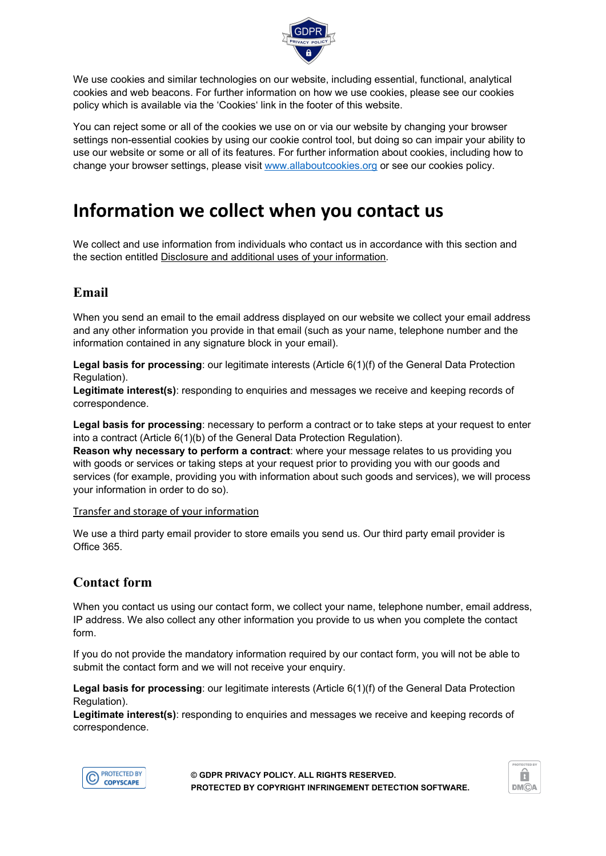

We use cookies and similar technologies on our website, including essential, functional, analytical cookies and web beacons. For further information on how we use cookies, please see our cookies policy which is available via the 'Cookies' link in the footer of this website.

You can reject some or all of the cookies we use on or via our website by changing your browser settings non-essential cookies by using our cookie control tool, but doing so can impair your ability to use our website or some or all of its features. For further information about cookies, including how to change your browser settings, please visit [www.allaboutcookies.org](http://www.allaboutcookies.org/) or see our cookies policy.

### **Information we collect when you contact us**

We collect and use information from individuals who contact us in accordance with this section and the section entitled Disclosure and additional uses of your information.

### **Email**

When you send an email to the email address displayed on our website we collect your email address and any other information you provide in that email (such as your name, telephone number and the information contained in any signature block in your email).

**Legal basis for processing**: our legitimate interests (Article 6(1)(f) of the General Data Protection Regulation).

**Legitimate interest(s)**: responding to enquiries and messages we receive and keeping records of correspondence.

**Legal basis for processing**: necessary to perform a contract or to take steps at your request to enter into a contract (Article 6(1)(b) of the General Data Protection Regulation).

**Reason why necessary to perform a contract**: where your message relates to us providing you with goods or services or taking steps at your request prior to providing you with our goods and services (for example, providing you with information about such goods and services), we will process your information in order to do so).

#### Transfer and storage of your information

We use a third party email provider to store emails you send us. Our third party email provider is Office 365.

#### **Contact form**

When you contact us using our contact form, we collect your name, telephone number, email address, IP address. We also collect any other information you provide to us when you complete the contact form.

If you do not provide the mandatory information required by our contact form, you will not be able to submit the contact form and we will not receive your enquiry.

**Legal basis for processing**: our legitimate interests (Article 6(1)(f) of the General Data Protection Regulation).

**Legitimate interest(s)**: responding to enquiries and messages we receive and keeping records of correspondence.



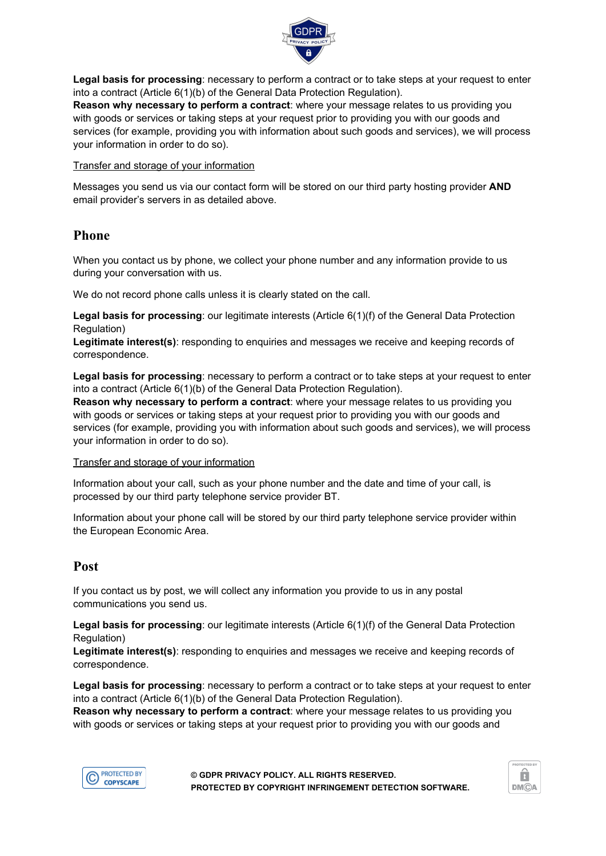

**Legal basis for processing**: necessary to perform a contract or to take steps at your request to enter into a contract (Article 6(1)(b) of the General Data Protection Regulation).

**Reason why necessary to perform a contract**: where your message relates to us providing you with goods or services or taking steps at your request prior to providing you with our goods and services (for example, providing you with information about such goods and services), we will process your information in order to do so).

Transfer and storage of your information

Messages you send us via our contact form will be stored on our third party hosting provider **AND** email provider's servers in as detailed above.

#### **Phone**

When you contact us by phone, we collect your phone number and any information provide to us during your conversation with us.

We do not record phone calls unless it is clearly stated on the call.

**Legal basis for processing**: our legitimate interests (Article 6(1)(f) of the General Data Protection Regulation)

**Legitimate interest(s)**: responding to enquiries and messages we receive and keeping records of correspondence.

**Legal basis for processing**: necessary to perform a contract or to take steps at your request to enter into a contract (Article 6(1)(b) of the General Data Protection Regulation).

**Reason why necessary to perform a contract**: where your message relates to us providing you with goods or services or taking steps at your request prior to providing you with our goods and services (for example, providing you with information about such goods and services), we will process your information in order to do so).

#### Transfer and storage of your information

Information about your call, such as your phone number and the date and time of your call, is processed by our third party telephone service provider BT.

Information about your phone call will be stored by our third party telephone service provider within the European Economic Area.

#### **Post**

If you contact us by post, we will collect any information you provide to us in any postal communications you send us.

**Legal basis for processing**: our legitimate interests (Article 6(1)(f) of the General Data Protection Regulation)

**Legitimate interest(s)**: responding to enquiries and messages we receive and keeping records of correspondence.

**Legal basis for processing**: necessary to perform a contract or to take steps at your request to enter into a contract (Article 6(1)(b) of the General Data Protection Regulation).

**Reason why necessary to perform a contract**: where your message relates to us providing you with goods or services or taking steps at your request prior to providing you with our goods and



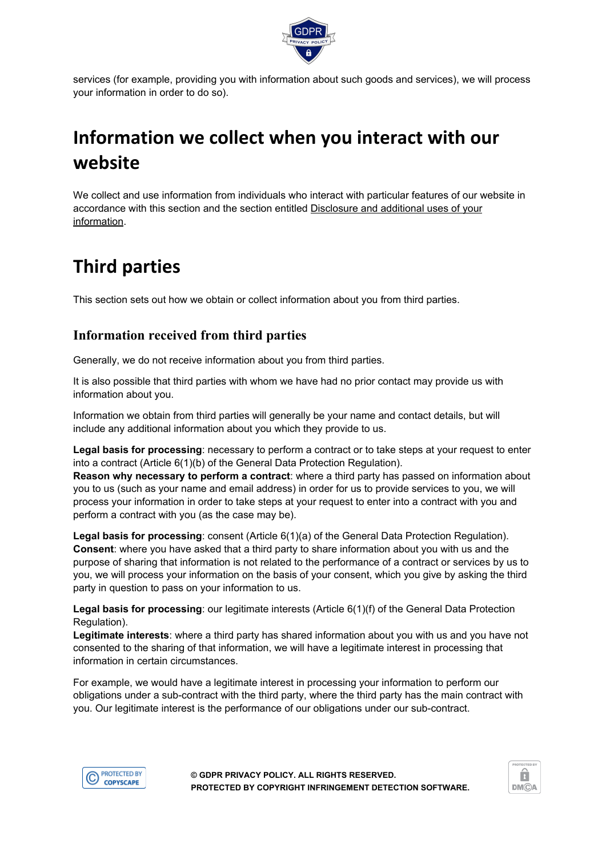

services (for example, providing you with information about such goods and services), we will process your information in order to do so).

## **Information we collect when you interact with our website**

We collect and use information from individuals who interact with particular features of our website in accordance with this section and the section entitled **Disclosure and additional uses of your** information.

## **Third parties**

This section sets out how we obtain or collect information about you from third parties.

### **Information received from third parties**

Generally, we do not receive information about you from third parties.

It is also possible that third parties with whom we have had no prior contact may provide us with information about you.

Information we obtain from third parties will generally be your name and contact details, but will include any additional information about you which they provide to us.

**Legal basis for processing**: necessary to perform a contract or to take steps at your request to enter into a contract (Article 6(1)(b) of the General Data Protection Regulation).

**Reason why necessary to perform a contract**: where a third party has passed on information about you to us (such as your name and email address) in order for us to provide services to you, we will process your information in order to take steps at your request to enter into a contract with you and perform a contract with you (as the case may be).

**Legal basis for processing**: consent (Article 6(1)(a) of the General Data Protection Regulation). **Consent**: where you have asked that a third party to share information about you with us and the purpose of sharing that information is not related to the performance of a contract or services by us to you, we will process your information on the basis of your consent, which you give by asking the third party in question to pass on your information to us.

**Legal basis for processing**: our legitimate interests (Article 6(1)(f) of the General Data Protection Regulation).

**Legitimate interests**: where a third party has shared information about you with us and you have not consented to the sharing of that information, we will have a legitimate interest in processing that information in certain circumstances.

For example, we would have a legitimate interest in processing your information to perform our obligations under a sub-contract with the third party, where the third party has the main contract with you. Our legitimate interest is the performance of our obligations under our sub-contract.



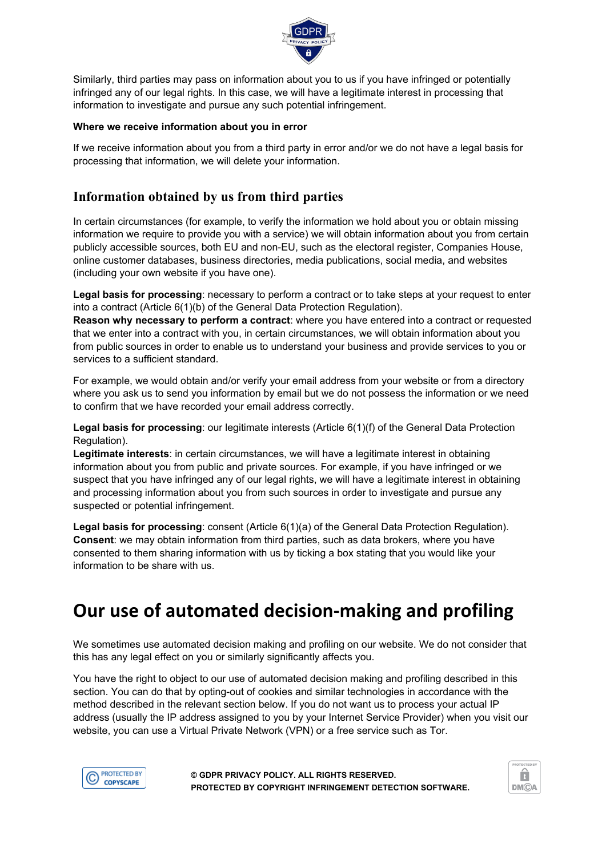

Similarly, third parties may pass on information about you to us if you have infringed or potentially infringed any of our legal rights. In this case, we will have a legitimate interest in processing that information to investigate and pursue any such potential infringement.

#### **Where we receive information about you in error**

If we receive information about you from a third party in error and/or we do not have a legal basis for processing that information, we will delete your information.

#### **Information obtained by us from third parties**

In certain circumstances (for example, to verify the information we hold about you or obtain missing information we require to provide you with a service) we will obtain information about you from certain publicly accessible sources, both EU and non-EU, such as the electoral register, Companies House, online customer databases, business directories, media publications, social media, and websites (including your own website if you have one).

**Legal basis for processing**: necessary to perform a contract or to take steps at your request to enter into a contract (Article 6(1)(b) of the General Data Protection Regulation).

**Reason why necessary to perform a contract**: where you have entered into a contract or requested that we enter into a contract with you, in certain circumstances, we will obtain information about you from public sources in order to enable us to understand your business and provide services to you or services to a sufficient standard.

For example, we would obtain and/or verify your email address from your website or from a directory where you ask us to send you information by email but we do not possess the information or we need to confirm that we have recorded your email address correctly.

**Legal basis for processing**: our legitimate interests (Article 6(1)(f) of the General Data Protection Regulation).

**Legitimate interests**: in certain circumstances, we will have a legitimate interest in obtaining information about you from public and private sources. For example, if you have infringed or we suspect that you have infringed any of our legal rights, we will have a legitimate interest in obtaining and processing information about you from such sources in order to investigate and pursue any suspected or potential infringement.

**Legal basis for processing**: consent (Article 6(1)(a) of the General Data Protection Regulation). **Consent**: we may obtain information from third parties, such as data brokers, where you have consented to them sharing information with us by ticking a box stating that you would like your information to be share with us.

### **Our use of automated decision-making and profiling**

We sometimes use automated decision making and profiling on our website. We do not consider that this has any legal effect on you or similarly significantly affects you.

You have the right to object to our use of automated decision making and profiling described in this section. You can do that by opting-out of cookies and similar technologies in accordance with the method described in the relevant section below. If you do not want us to process your actual IP address (usually the IP address assigned to you by your Internet Service Provider) when you visit our website, you can use a Virtual Private Network (VPN) or a free service such as Tor.



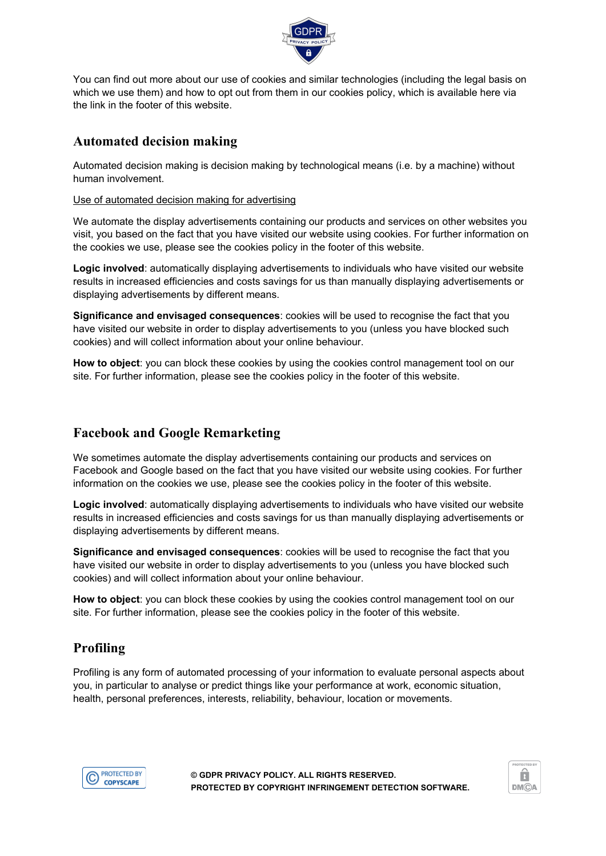

You can find out more about our use of cookies and similar technologies (including the legal basis on which we use them) and how to opt out from them in our cookies policy, which is available here via the link in the footer of this website.

#### **Automated decision making**

Automated decision making is decision making by technological means (i.e. by a machine) without human involvement.

#### Use of automated decision making for advertising

We automate the display advertisements containing our products and services on other websites you visit, you based on the fact that you have visited our website using cookies. For further information on the cookies we use, please see the cookies policy in the footer of this website.

**Logic involved**: automatically displaying advertisements to individuals who have visited our website results in increased efficiencies and costs savings for us than manually displaying advertisements or displaying advertisements by different means.

**Significance and envisaged consequences**: cookies will be used to recognise the fact that you have visited our website in order to display advertisements to you (unless you have blocked such cookies) and will collect information about your online behaviour.

**How to object**: you can block these cookies by using the cookies control management tool on our site. For further information, please see the cookies policy in the footer of this website.

### **Facebook and Google Remarketing**

We sometimes automate the display advertisements containing our products and services on Facebook and Google based on the fact that you have visited our website using cookies. For further information on the cookies we use, please see the cookies policy in the footer of this website.

**Logic involved**: automatically displaying advertisements to individuals who have visited our website results in increased efficiencies and costs savings for us than manually displaying advertisements or displaying advertisements by different means.

**Significance and envisaged consequences**: cookies will be used to recognise the fact that you have visited our website in order to display advertisements to you (unless you have blocked such cookies) and will collect information about your online behaviour.

**How to object**: you can block these cookies by using the cookies control management tool on our site. For further information, please see the cookies policy in the footer of this website.

### **Profiling**

Profiling is any form of automated processing of your information to evaluate personal aspects about you, in particular to analyse or predict things like your performance at work, economic situation, health, personal preferences, interests, reliability, behaviour, location or movements.



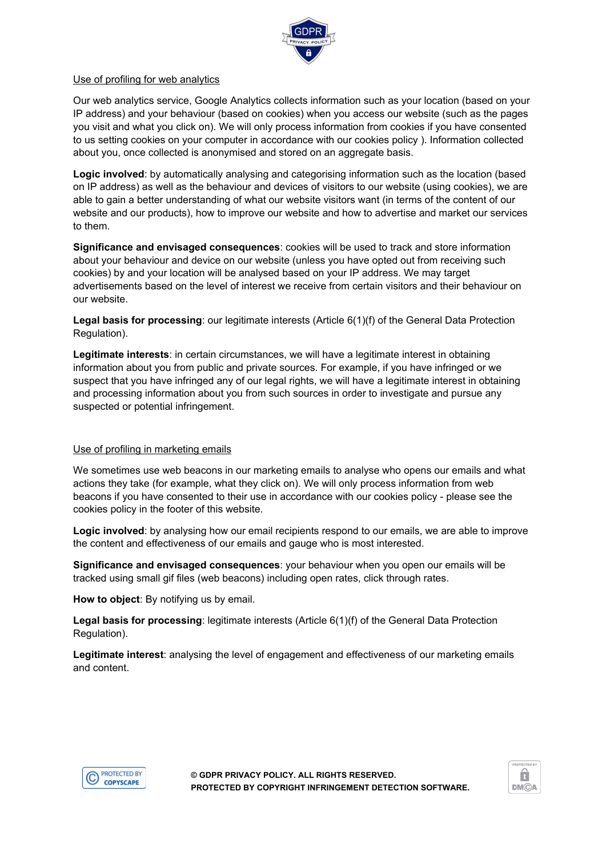

#### Use of profiling for web analytics

Our web analytics service, Google Analytics collects information such as your location (based on your IP address) and your behaviour (based on cookies) when you access our website (such as the pages you visit and what you click on). We will only process information from cookies if you have consented to us setting cookies on your computer in accordance with our cookies policy ). Information collected about you, once collected is anonymised and stored on an aggregate basis.

**Logic involved**: by automatically analysing and categorising information such as the location (based on IP address) as well as the behaviour and devices of visitors to our website (using cookies), we are able to gain a better understanding of what our website visitors want (in terms of the content of our website and our products), how to improve our website and how to advertise and market our services to them.

**Significance and envisaged consequences**: cookies will be used to track and store information about your behaviour and device on our website (unless you have opted out from receiving such cookies) by and your location will be analysed based on your IP address. We may target advertisements based on the level of interest we receive from certain visitors and their behaviour on our website.

**Legal basis for processing**: our legitimate interests (Article 6(1)(f) of the General Data Protection Regulation).

**Legitimate interests**: in certain circumstances, we will have a legitimate interest in obtaining information about you from public and private sources. For example, if you have infringed or we suspect that you have infringed any of our legal rights, we will have a legitimate interest in obtaining and processing information about you from such sources in order to investigate and pursue any suspected or potential infringement.

#### Use of profiling in marketing emails

We sometimes use web beacons in our marketing emails to analyse who opens our emails and what actions they take (for example, what they click on). We will only process information from web beacons if you have consented to their use in accordance with our cookies policy - please see the cookies policy in the footer of this website.

**Logic involved**: by analysing how our email recipients respond to our emails, we are able to improve the content and effectiveness of our emails and gauge who is most interested.

**Significance and envisaged consequences**: your behaviour when you open our emails will be tracked using small gif files (web beacons) including open rates, click through rates.

**How to object**: By notifying us by email.

**Legal basis for processing**: legitimate interests (Article 6(1)(f) of the General Data Protection Regulation).

**Legitimate interest**: analysing the level of engagement and effectiveness of our marketing emails and content.



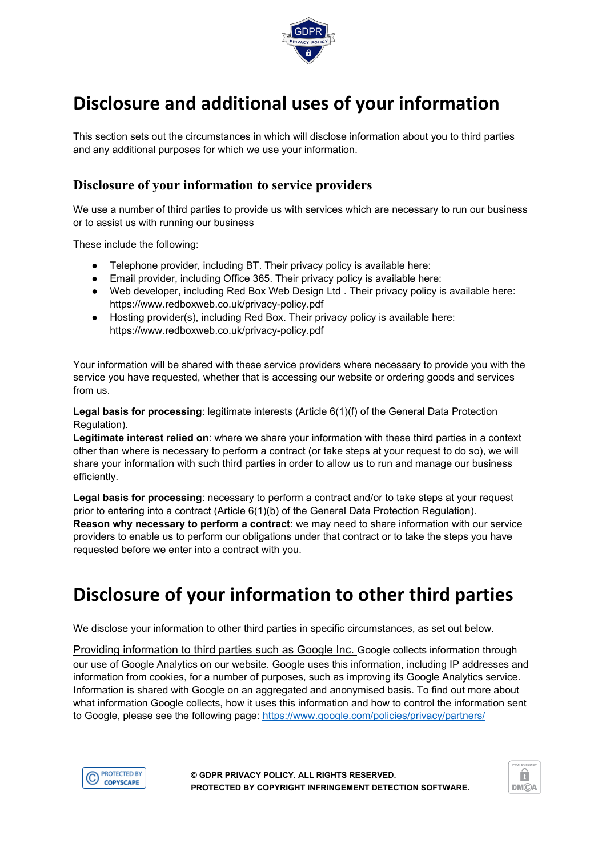

## **Disclosure and additional uses of your information**

This section sets out the circumstances in which will disclose information about you to third parties and any additional purposes for which we use your information.

### **Disclosure of your information to service providers**

We use a number of third parties to provide us with services which are necessary to run our business or to assist us with running our business

These include the following:

- Telephone provider, including BT. Their privacy policy is available here:
- Email provider, including Office 365. Their privacy policy is available here:
- Web developer, including Red Box Web Design Ltd . Their privacy policy is available here: https://www.redboxweb.co.uk/privacy-policy.pdf
- Hosting provider(s), including Red Box. Their privacy policy is available here: https://www.redboxweb.co.uk/privacy-policy.pdf

Your information will be shared with these service providers where necessary to provide you with the service you have requested, whether that is accessing our website or ordering goods and services from us.

**Legal basis for processing**: legitimate interests (Article 6(1)(f) of the General Data Protection Regulation).

**Legitimate interest relied on**: where we share your information with these third parties in a context other than where is necessary to perform a contract (or take steps at your request to do so), we will share your information with such third parties in order to allow us to run and manage our business efficiently.

**Legal basis for processing**: necessary to perform a contract and/or to take steps at your request prior to entering into a contract (Article 6(1)(b) of the General Data Protection Regulation). **Reason why necessary to perform a contract**: we may need to share information with our service providers to enable us to perform our obligations under that contract or to take the steps you have requested before we enter into a contract with you.

## **Disclosure of your information to other third parties**

We disclose your information to other third parties in specific circumstances, as set out below.

Providing information to third parties such as Google Inc. Google collects information through our use of Google Analytics on our website. Google uses this information, including IP addresses and information from cookies, for a number of purposes, such as improving its Google Analytics service. Information is shared with Google on an aggregated and anonymised basis. To find out more about what information Google collects, how it uses this information and how to control the information sent to Google, please see the following page: <https://www.google.com/policies/privacy/partners/>



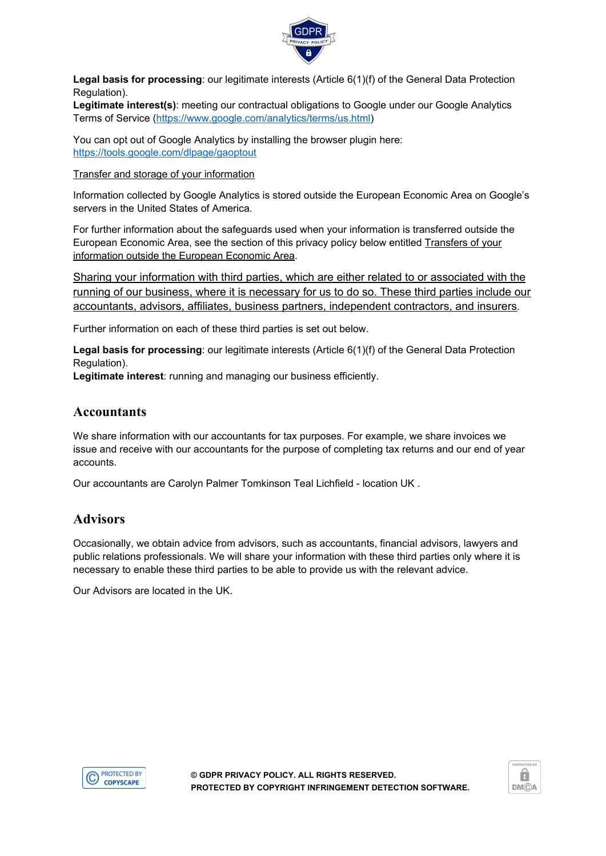

**Legal basis for processing**: our legitimate interests (Article 6(1)(f) of the General Data Protection Regulation).

**Legitimate interest(s)**: meeting our contractual obligations to Google under our Google Analytics Terms of Service ([https://www.google.com/analytics/terms/us.html\)](https://www.google.com/analytics/terms/us.html)

You can opt out of Google Analytics by installing the browser plugin here: <https://tools.google.com/dlpage/gaoptout>

Transfer and storage of your information

Information collected by Google Analytics is stored outside the European Economic Area on Google's servers in the United States of America.

For further information about the safeguards used when your information is transferred outside the European Economic Area, see the section of this privacy policy below entitled Transfers of your information outside the European Economic Area.

Sharing your information with third parties, which are either related to or associated with the running of our business, where it is necessary for us to do so. These third parties include our accountants, advisors, affiliates, business partners, independent contractors, and insurers.

Further information on each of these third parties is set out below.

**Legal basis for processing**: our legitimate interests (Article 6(1)(f) of the General Data Protection Regulation).

**Legitimate interest**: running and managing our business efficiently.

#### **Accountants**

We share information with our accountants for tax purposes. For example, we share invoices we issue and receive with our accountants for the purpose of completing tax returns and our end of year accounts.

Our accountants are Carolyn Palmer Tomkinson Teal Lichfield - location UK .

#### **Advisors**

Occasionally, we obtain advice from advisors, such as accountants, financial advisors, lawyers and public relations professionals. We will share your information with these third parties only where it is necessary to enable these third parties to be able to provide us with the relevant advice.

Our Advisors are located in the UK.



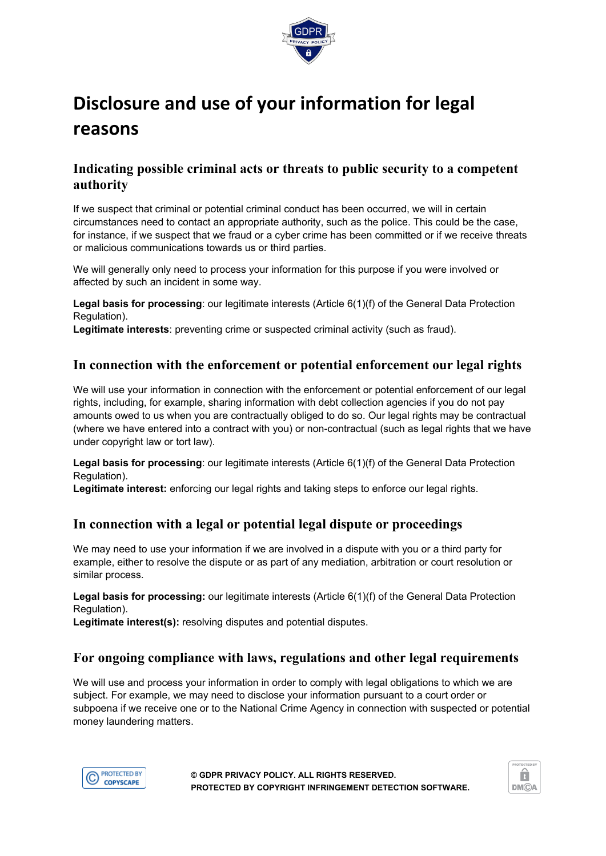

## **Disclosure and use of your information for legal reasons**

#### **Indicating possible criminal acts or threats to public security to a competent authority**

If we suspect that criminal or potential criminal conduct has been occurred, we will in certain circumstances need to contact an appropriate authority, such as the police. This could be the case, for instance, if we suspect that we fraud or a cyber crime has been committed or if we receive threats or malicious communications towards us or third parties.

We will generally only need to process your information for this purpose if you were involved or affected by such an incident in some way.

**Legal basis for processing**: our legitimate interests (Article 6(1)(f) of the General Data Protection Regulation).

**Legitimate interests**: preventing crime or suspected criminal activity (such as fraud).

#### **In connection with the enforcement or potential enforcement our legal rights**

We will use your information in connection with the enforcement or potential enforcement of our legal rights, including, for example, sharing information with debt collection agencies if you do not pay amounts owed to us when you are contractually obliged to do so. Our legal rights may be contractual (where we have entered into a contract with you) or non-contractual (such as legal rights that we have under copyright law or tort law).

**Legal basis for processing**: our legitimate interests (Article 6(1)(f) of the General Data Protection Regulation).

**Legitimate interest:** enforcing our legal rights and taking steps to enforce our legal rights.

#### **In connection with a legal or potential legal dispute or proceedings**

We may need to use your information if we are involved in a dispute with you or a third party for example, either to resolve the dispute or as part of any mediation, arbitration or court resolution or similar process.

**Legal basis for processing:** our legitimate interests (Article 6(1)(f) of the General Data Protection Regulation).

**Legitimate interest(s):** resolving disputes and potential disputes.

#### **For ongoing compliance with laws, regulations and other legal requirements**

We will use and process your information in order to comply with legal obligations to which we are subject. For example, we may need to disclose your information pursuant to a court order or subpoena if we receive one or to the National Crime Agency in connection with suspected or potential money laundering matters.



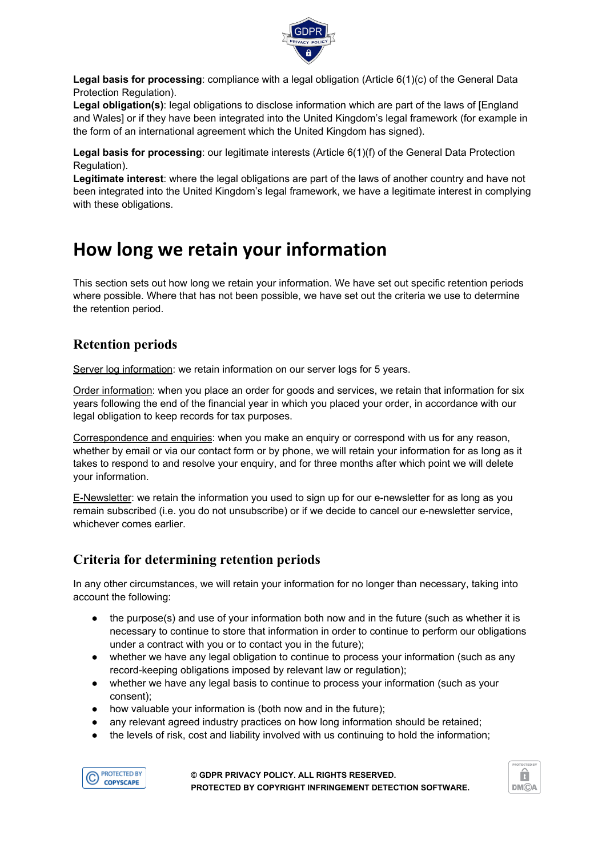

**Legal basis for processing**: compliance with a legal obligation (Article 6(1)(c) of the General Data Protection Regulation).

**Legal obligation(s)**: legal obligations to disclose information which are part of the laws of [England and Wales] or if they have been integrated into the United Kingdom's legal framework (for example in the form of an international agreement which the United Kingdom has signed).

**Legal basis for processing**: our legitimate interests (Article 6(1)(f) of the General Data Protection Regulation).

**Legitimate interest**: where the legal obligations are part of the laws of another country and have not been integrated into the United Kingdom's legal framework, we have a legitimate interest in complying with these obligations.

## **How long we retain your information**

This section sets out how long we retain your information. We have set out specific retention periods where possible. Where that has not been possible, we have set out the criteria we use to determine the retention period.

### **Retention periods**

Server log information: we retain information on our server logs for 5 years.

Order information: when you place an order for goods and services, we retain that information for six years following the end of the financial year in which you placed your order, in accordance with our legal obligation to keep records for tax purposes.

Correspondence and enquiries: when you make an enquiry or correspond with us for any reason, whether by email or via our contact form or by phone, we will retain your information for as long as it takes to respond to and resolve your enquiry, and for three months after which point we will delete your information.

E-Newsletter: we retain the information you used to sign up for our e-newsletter for as long as you remain subscribed (i.e. you do not unsubscribe) or if we decide to cancel our e-newsletter service, whichever comes earlier.

### **Criteria for determining retention periods**

In any other circumstances, we will retain your information for no longer than necessary, taking into account the following:

- the purpose(s) and use of your information both now and in the future (such as whether it is necessary to continue to store that information in order to continue to perform our obligations under a contract with you or to contact you in the future);
- whether we have any legal obligation to continue to process your information (such as any record-keeping obligations imposed by relevant law or regulation);
- whether we have any legal basis to continue to process your information (such as your consent);
- how valuable your information is (both now and in the future);
- any relevant agreed industry practices on how long information should be retained;
- the levels of risk, cost and liability involved with us continuing to hold the information;



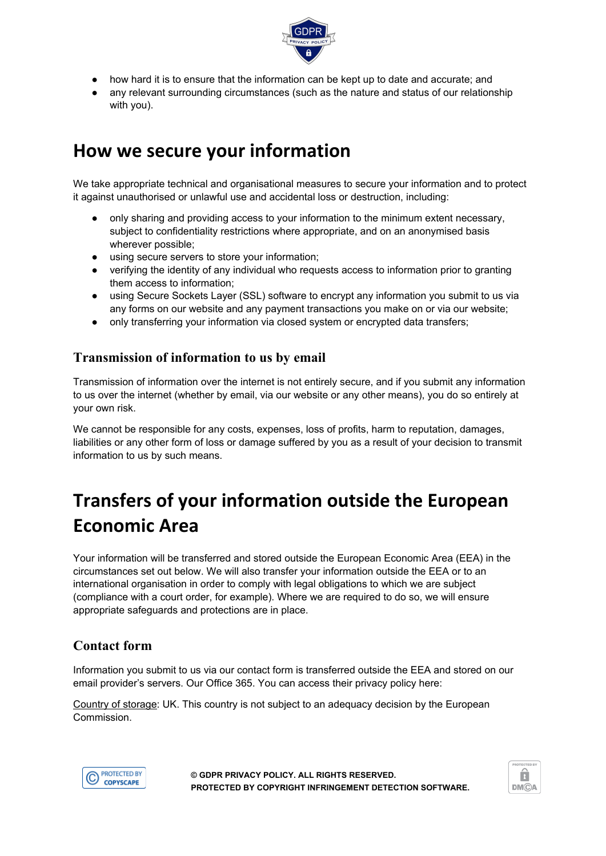

- how hard it is to ensure that the information can be kept up to date and accurate; and
- any relevant surrounding circumstances (such as the nature and status of our relationship with you).

### **How we secure your information**

We take appropriate technical and organisational measures to secure your information and to protect it against unauthorised or unlawful use and accidental loss or destruction, including:

- only sharing and providing access to your information to the minimum extent necessary, subject to confidentiality restrictions where appropriate, and on an anonymised basis wherever possible;
- using secure servers to store your information;
- verifying the identity of any individual who requests access to information prior to granting them access to information;
- using Secure Sockets Layer (SSL) software to encrypt any information you submit to us via any forms on our website and any payment transactions you make on or via our website;
- only transferring your information via closed system or encrypted data transfers;

### **Transmission of information to us by email**

Transmission of information over the internet is not entirely secure, and if you submit any information to us over the internet (whether by email, via our website or any other means), you do so entirely at your own risk.

We cannot be responsible for any costs, expenses, loss of profits, harm to reputation, damages, liabilities or any other form of loss or damage suffered by you as a result of your decision to transmit information to us by such means.

## **Transfers of your information outside the European Economic Area**

Your information will be transferred and stored outside the European Economic Area (EEA) in the circumstances set out below. We will also transfer your information outside the EEA or to an international organisation in order to comply with legal obligations to which we are subject (compliance with a court order, for example). Where we are required to do so, we will ensure appropriate safeguards and protections are in place.

### **Contact form**

Information you submit to us via our contact form is transferred outside the EEA and stored on our email provider's servers. Our Office 365. You can access their privacy policy here:

Country of storage: UK. This country is not subject to an adequacy decision by the European Commission.



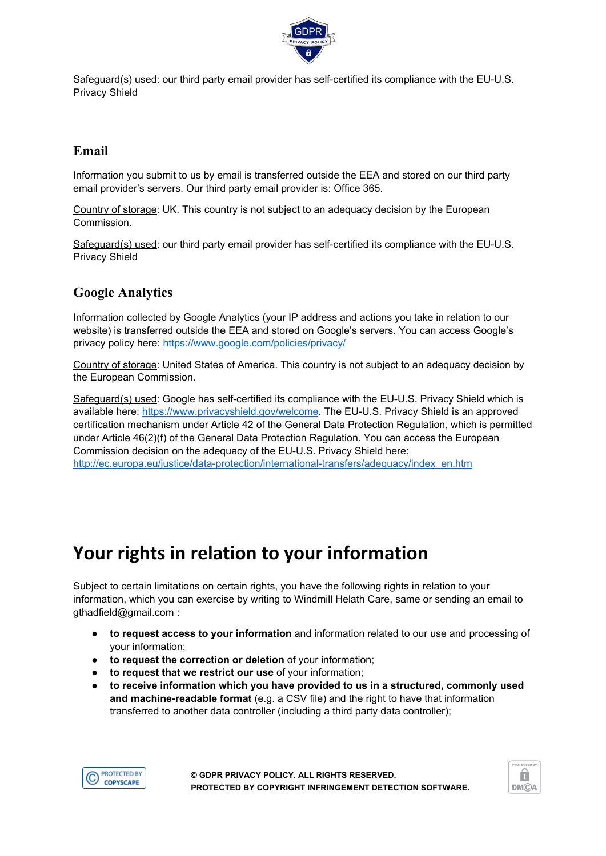

Safeguard(s) used: our third party email provider has self-certified its compliance with the EU-U.S. Privacy Shield

### **Email**

Information you submit to us by email is transferred outside the EEA and stored on our third party email provider's servers. Our third party email provider is: Office 365.

Country of storage: UK. This country is not subject to an adequacy decision by the European Commission.

Safeguard(s) used: our third party email provider has self-certified its compliance with the EU-U.S. Privacy Shield

### **Google Analytics**

Information collected by Google Analytics (your IP address and actions you take in relation to our website) is transferred outside the EEA and stored on Google's servers. You can access Google's privacy policy here: <https://www.google.com/policies/privacy/>

Country of storage: United States of America. This country is not subject to an adequacy decision by the European Commission.

Safeguard(s) used: Google has self-certified its compliance with the EU-U.S. Privacy Shield which is available here: <https://www.privacyshield.gov/welcome>. The EU-U.S. Privacy Shield is an approved certification mechanism under Article 42 of the General Data Protection Regulation, which is permitted under Article 46(2)(f) of the General Data Protection Regulation. You can access the European Commission decision on the adequacy of the EU-U.S. Privacy Shield here: [http://ec.europa.eu/justice/data-protection/international-transfers/adequacy/index\\_en.htm](http://ec.europa.eu/justice/data-protection/international-transfers/adequacy/index_en.htm)

### **Your rights in relation to your information**

Subject to certain limitations on certain rights, you have the following rights in relation to your information, which you can exercise by writing to Windmill Helath Care, same or sending an email to gthadfield@gmail.com :

- **to request access to your information** and information related to our use and processing of your information;
- **to request the correction or deletion** of your information;
- **to request that we restrict our use** of your information;
- **to receive information which you have provided to us in a structured, commonly used and machine-readable format** (e.g. a CSV file) and the right to have that information transferred to another data controller (including a third party data controller);



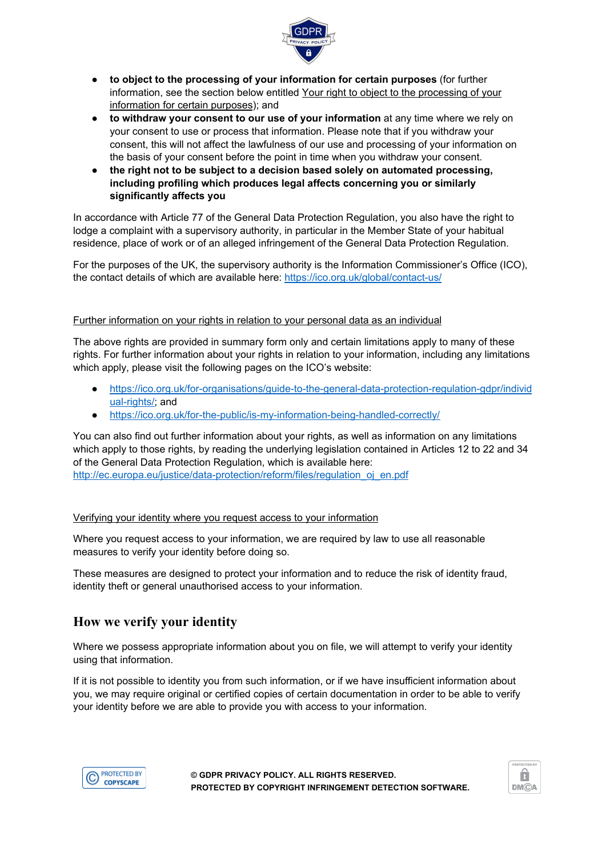

- **to object to the processing of your information for certain purposes** (for further information, see the section below entitled Your right to object to the processing of your information for certain purposes); and
- **to withdraw your consent to our use of your information** at any time where we rely on your consent to use or process that information. Please note that if you withdraw your consent, this will not affect the lawfulness of our use and processing of your information on the basis of your consent before the point in time when you withdraw your consent.
- **the right not to be subject to a decision based solely on automated processing, including profiling which produces legal affects concerning you or similarly significantly affects you**

In accordance with Article 77 of the General Data Protection Regulation, you also have the right to lodge a complaint with a supervisory authority, in particular in the Member State of your habitual residence, place of work or of an alleged infringement of the General Data Protection Regulation.

For the purposes of the UK, the supervisory authority is the Information Commissioner's Office (ICO), the contact details of which are available here: <https://ico.org.uk/global/contact-us/>

#### Further information on your rights in relation to your personal data as an individual

The above rights are provided in summary form only and certain limitations apply to many of these rights. For further information about your rights in relation to your information, including any limitations which apply, please visit the following pages on the ICO's website:

- [https://ico.org.uk/for-organisations/guide-to-the-general-data-protection-regulation-gdpr/individ](https://ico.org.uk/for-organisations/guide-to-the-general-data-protection-regulation-gdpr/individual-rights/) [ual-rights/](https://ico.org.uk/for-organisations/guide-to-the-general-data-protection-regulation-gdpr/individual-rights/); and
- <https://ico.org.uk/for-the-public/is-my-information-being-handled-correctly/>

You can also find out further information about your rights, as well as information on any limitations which apply to those rights, by reading the underlying legislation contained in Articles 12 to 22 and 34 of the General Data Protection Regulation, which is available here:

[http://ec.europa.eu/justice/data-protection/reform/files/regulation\\_oj\\_en.pdf](http://ec.europa.eu/justice/data-protection/reform/files/regulation_oj_en.pdf)

#### Verifying your identity where you request access to your information

Where you request access to your information, we are required by law to use all reasonable measures to verify your identity before doing so.

These measures are designed to protect your information and to reduce the risk of identity fraud, identity theft or general unauthorised access to your information.

#### **How we verify your identity**

Where we possess appropriate information about you on file, we will attempt to verify your identity using that information.

If it is not possible to identity you from such information, or if we have insufficient information about you, we may require original or certified copies of certain documentation in order to be able to verify your identity before we are able to provide you with access to your information.



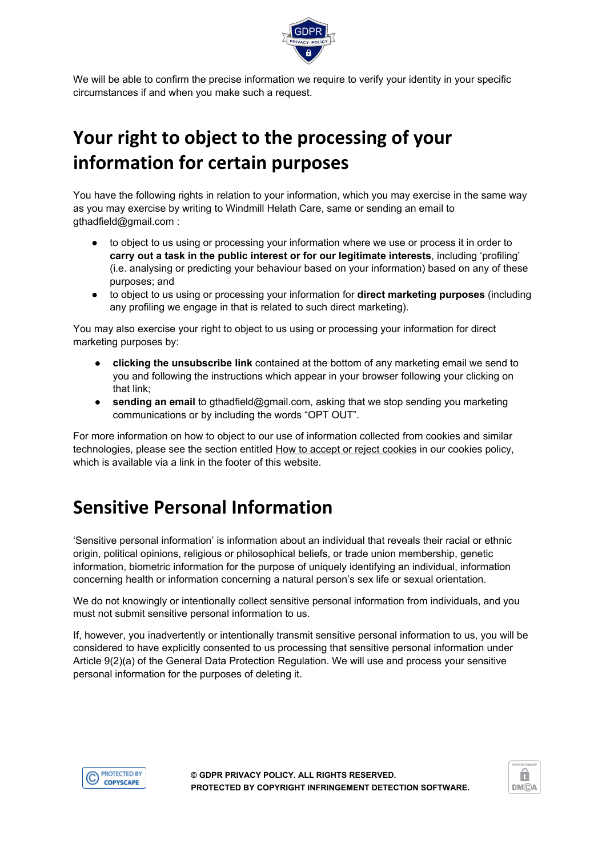

We will be able to confirm the precise information we require to verify your identity in your specific circumstances if and when you make such a request.

## **Your right to object to the processing of your information for certain purposes**

You have the following rights in relation to your information, which you may exercise in the same way as you may exercise by writing to Windmill Helath Care, same or sending an email to gthadfield@gmail.com :

- to object to us using or processing your information where we use or process it in order to **carry out a task in the public interest or for our legitimate interests**, including 'profiling' (i.e. analysing or predicting your behaviour based on your information) based on any of these purposes; and
- to object to us using or processing your information for **direct marketing purposes** (including any profiling we engage in that is related to such direct marketing).

You may also exercise your right to object to us using or processing your information for direct marketing purposes by:

- **clicking the unsubscribe link** contained at the bottom of any marketing email we send to you and following the instructions which appear in your browser following your clicking on that link;
- **sending an email** to gthadfield@gmail.com, asking that we stop sending you marketing communications or by including the words "OPT OUT".

For more information on how to object to our use of information collected from cookies and similar technologies, please see the section entitled How to accept or reject cookies in our cookies policy, which is available via a link in the footer of this website.

## **Sensitive Personal Information**

'Sensitive personal information' is information about an individual that reveals their racial or ethnic origin, political opinions, religious or philosophical beliefs, or trade union membership, genetic information, biometric information for the purpose of uniquely identifying an individual, information concerning health or information concerning a natural person's sex life or sexual orientation.

We do not knowingly or intentionally collect sensitive personal information from individuals, and you must not submit sensitive personal information to us.

If, however, you inadvertently or intentionally transmit sensitive personal information to us, you will be considered to have explicitly consented to us processing that sensitive personal information under Article 9(2)(a) of the General Data Protection Regulation. We will use and process your sensitive personal information for the purposes of deleting it.



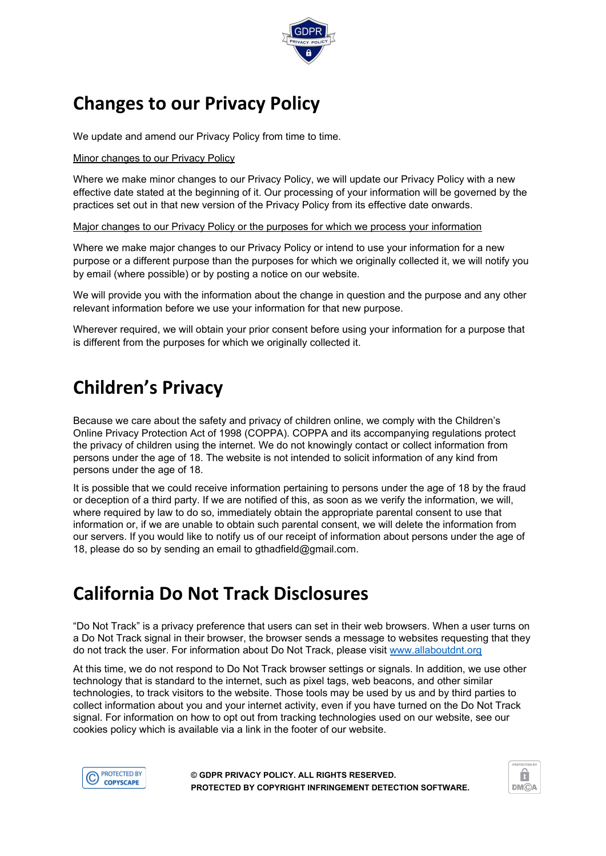

## **Changes to our Privacy Policy**

We update and amend our Privacy Policy from time to time.

#### Minor changes to our Privacy Policy

Where we make minor changes to our Privacy Policy, we will update our Privacy Policy with a new effective date stated at the beginning of it. Our processing of your information will be governed by the practices set out in that new version of the Privacy Policy from its effective date onwards.

#### Major changes to our Privacy Policy or the purposes for which we process your information

Where we make major changes to our Privacy Policy or intend to use your information for a new purpose or a different purpose than the purposes for which we originally collected it, we will notify you by email (where possible) or by posting a notice on our website.

We will provide you with the information about the change in question and the purpose and any other relevant information before we use your information for that new purpose.

Wherever required, we will obtain your prior consent before using your information for a purpose that is different from the purposes for which we originally collected it.

## **Children's Privacy**

Because we care about the safety and privacy of children online, we comply with the Children's Online Privacy Protection Act of 1998 (COPPA). COPPA and its accompanying regulations protect the privacy of children using the internet. We do not knowingly contact or collect information from persons under the age of 18. The website is not intended to solicit information of any kind from persons under the age of 18.

It is possible that we could receive information pertaining to persons under the age of 18 by the fraud or deception of a third party. If we are notified of this, as soon as we verify the information, we will, where required by law to do so, immediately obtain the appropriate parental consent to use that information or, if we are unable to obtain such parental consent, we will delete the information from our servers. If you would like to notify us of our receipt of information about persons under the age of 18, please do so by sending an email to gthadfield@gmail.com.

### **California Do Not Track Disclosures**

"Do Not Track" is a privacy preference that users can set in their web browsers. When a user turns on a Do Not Track signal in their browser, the browser sends a message to websites requesting that they do not track the user. For information about Do Not Track, please visit [www.allaboutdnt.org](http://www.allaboutdnt.org/)

At this time, we do not respond to Do Not Track browser settings or signals. In addition, we use other technology that is standard to the internet, such as pixel tags, web beacons, and other similar technologies, to track visitors to the website. Those tools may be used by us and by third parties to collect information about you and your internet activity, even if you have turned on the Do Not Track signal. For information on how to opt out from tracking technologies used on our website, see our cookies policy which is available via a link in the footer of our website.